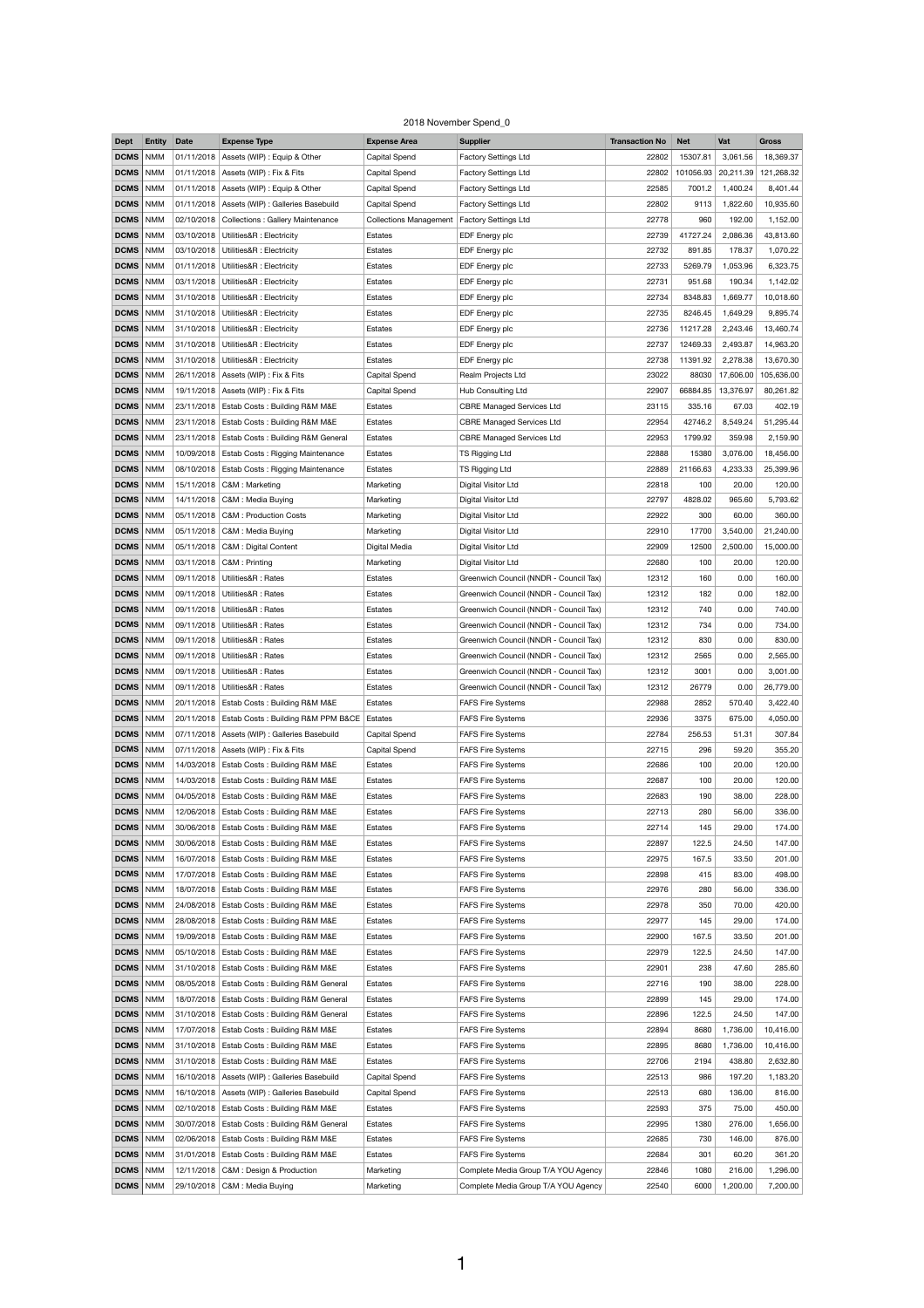## 2018 November Spend\_0

| <b>Dept</b>       | <b>Entity</b> | <b>Date</b> | <b>Expense Type</b>                             | <b>Expense Area</b>           | <b>Supplier</b>                        | <b>Transaction No</b> | <b>Net</b> | Vat       | <b>Gross</b> |
|-------------------|---------------|-------------|-------------------------------------------------|-------------------------------|----------------------------------------|-----------------------|------------|-----------|--------------|
| <b>DCMS</b>       | <b>NMM</b>    |             | 01/11/2018   Assets (WIP) : Equip & Other       | Capital Spend                 | <b>Factory Settings Ltd</b>            | 22802                 | 15307.81   | 3,061.56  | 18,369.37    |
| <b>DCMS</b>       | <b>NMM</b>    |             | 01/11/2018   Assets (WIP) : Fix & Fits          | Capital Spend                 | <b>Factory Settings Ltd</b>            | 22802                 | 101056.93  | 20,211.39 | 121,268.32   |
| DCMS              | <b>NMM</b>    |             | $01/11/2018$ Assets (WIP) : Equip & Other       | <b>Capital Spend</b>          | <b>Factory Settings Ltd</b>            | 22585                 | 7001.2     | 1,400.24  | 8,401.44     |
|                   |               |             |                                                 |                               |                                        |                       |            |           |              |
| DCMS              | <b>NMM</b>    |             | 01/11/2018   Assets (WIP) : Galleries Basebuild | <b>Capital Spend</b>          | <b>Factory Settings Ltd</b>            | 22802                 | 9113       | 1,822.60  | 10,935.60    |
| DCMS              | <b>NMM</b>    |             | 02/10/2018   Collections : Gallery Maintenance  | <b>Collections Management</b> | Factory Settings Ltd                   | 22778                 | 960        | 192.00    | 1,152.00     |
| DCMS              | <b>NMM</b>    |             | 03/10/2018   Utilities&R : Electricity          | <b>Estates</b>                | EDF Energy plc                         | 22739                 | 41727.24   | 2,086.36  | 43,813.60    |
| DCMS              | <b>NMM</b>    |             | 03/10/2018   Utilities&R : Electricity          | Estates                       | EDF Energy plc                         | 22732                 | 891.85     | 178.37    | 1,070.22     |
| DCMS              | <b>NMM</b>    |             | 01/11/2018   Utilities&R : Electricity          | Estates                       | EDF Energy plc                         | 22733                 | 5269.79    | 1,053.96  | 6,323.75     |
| <b>DCMS</b>       | <b>NMM</b>    |             | 03/11/2018   Utilities&R : Electricity          | Estates                       | EDF Energy plc                         | 22731                 | 951.68     | 190.34    | 1,142.02     |
| DCMS              | <b>NMM</b>    |             | 31/10/2018   Utilities&R : Electricity          | Estates                       | EDF Energy plc                         | 22734                 | 8348.83    | 1,669.77  | 10,018.60    |
| DCMS              | <b>NMM</b>    |             | 31/10/2018   Utilities&R : Electricity          | Estates                       | EDF Energy plc                         | 22735                 | 8246.45    | 1,649.29  | 9,895.74     |
| <b>DCMS</b>       | <b>NMM</b>    |             | 31/10/2018   Utilities&R : Electricity          | Estates                       | EDF Energy plc                         | 22736                 | 11217.28   | 2,243.46  | 13,460.74    |
|                   |               |             |                                                 |                               |                                        |                       |            |           |              |
| DCMS              | <b>NMM</b>    |             | 31/10/2018   Utilities&R : Electricity          | Estates                       | EDF Energy plc                         | 22737                 | 12469.33   | 2,493.87  | 14,963.20    |
| <b>DCMS</b>       | <b>NMM</b>    |             | 31/10/2018   Utilities&R : Electricity          | Estates                       | EDF Energy plc                         | 22738                 | 11391.92   | 2,278.38  | 13,670.30    |
| <b>DCMS</b>       | <b>NMM</b>    |             | 26/11/2018   Assets (WIP) : Fix & Fits          | <b>Capital Spend</b>          | Realm Projects Ltd                     | 23022                 | 88030      | 17,606.00 | 105,636.00   |
| DCMS              | <b>NMM</b>    |             | 19/11/2018   Assets (WIP) : Fix & Fits          | Capital Spend                 | Hub Consulting Ltd                     | 22907                 | 66884.85   | 13,376.97 | 80,261.82    |
| <b>DCMS</b>       | <b>NMM</b>    | 23/11/2018  | <b>Estab Costs: Building R&amp;M M&amp;E</b>    | Estates                       | <b>CBRE Managed Services Ltd</b>       | 23115                 | 335.16     | 67.03     | 402.19       |
| DCMS              | <b>NMM</b>    |             | 23/11/2018   Estab Costs: Building R&M M&E      | Estates                       | <b>CBRE Managed Services Ltd</b>       | 22954                 | 42746.2    | 8,549.24  | 51,295.44    |
| <b>DCMS</b>   NMM |               |             | 23/11/2018   Estab Costs: Building R&M General  | Estates                       | <b>CBRE Managed Services Ltd</b>       | 22953                 | 1799.92    | 359.98    | 2,159.90     |
| DCMS              | <b>NMM</b>    |             | 10/09/2018   Estab Costs: Rigging Maintenance   | Estates                       | TS Rigging Ltd                         | 22888                 | 15380      | 3,076.00  | 18,456.00    |
| DCMS              | <b>NMM</b>    |             | 08/10/2018   Estab Costs: Rigging Maintenance   | Estates                       | TS Rigging Ltd                         | 22889                 | 21166.63   | 4,233.33  | 25,399.96    |
|                   |               |             |                                                 |                               |                                        |                       |            |           |              |
| DCMS NMM          |               |             | 15/11/2018   C&M : Marketing                    | Marketing                     | Digital Visitor Ltd                    | 22818                 | 100        | 20.00     | 120.00       |
| <b>DCMS</b> NMM   |               |             | 14/11/2018   C&M : Media Buying                 | Marketing                     | Digital Visitor Ltd                    | 22797                 | 4828.02    | 965.60    | 5,793.62     |
| DCMS              | <b>NMM</b>    |             | 05/11/2018   C&M : Production Costs             | Marketing                     | Digital Visitor Ltd                    | 22922                 | 300        | 60.00     | 360.00       |
| <b>DCMS</b> NMM   |               |             | 05/11/2018   C&M : Media Buying                 | Marketing                     | Digital Visitor Ltd                    | 22910                 | 17700      | 3,540.00  | 21,240.00    |
| <b>DCMS</b>   NMM |               |             | 05/11/2018   C&M : Digital Content              | Digital Media                 | Digital Visitor Ltd                    | 22909                 | 12500      | 2,500.00  | 15,000.00    |
| <b>DCMS</b>   NMM |               |             | 03/11/2018   C&M : Printing                     | Marketing                     | Digital Visitor Ltd                    | 22680                 | 100        | 20.00     | 120.00       |
| <b>DCMS</b>   NMM |               |             | 09/11/2018   Utilities&R: Rates                 | Estates                       | Greenwich Council (NNDR - Council Tax) | 12312                 | 160        | 0.00      | 160.00       |
| <b>DCMS</b>   NMM |               |             | 09/11/2018   Utilities&R: Rates                 | Estates                       | Greenwich Council (NNDR - Council Tax) | 12312                 | 182        | 0.00      | 182.00       |
|                   |               |             |                                                 |                               |                                        |                       |            |           |              |
| <b>DCMS</b>   NMM |               |             | 09/11/2018   Utilities&R: Rates                 | Estates                       | Greenwich Council (NNDR - Council Tax) | 12312                 | 740        | 0.00      | 740.00       |
| <b>DCMS</b>   NMM |               |             | 09/11/2018   Utilities&R: Rates                 | Estates                       | Greenwich Council (NNDR - Council Tax) | 12312                 | 734        | 0.00      | 734.00       |
| <b>DCMS</b>   NMM |               |             | 09/11/2018   Utilities&R: Rates                 | Estates                       | Greenwich Council (NNDR - Council Tax) | 12312                 | 830        | 0.00      | 830.00       |
| DCMS   NMM        |               |             | 09/11/2018   Utilities&R: Rates                 | Estates                       | Greenwich Council (NNDR - Council Tax) | 12312                 | 2565       | 0.00      | 2,565.00     |
| DCMS   NMM        |               |             | 09/11/2018   Utilities&R: Rates                 | Estates                       | Greenwich Council (NNDR - Council Tax) | 12312                 | 3001       | 0.00      | 3,001.00     |
| DCMS              | <b>NMM</b>    |             | 09/11/2018   Utilities&R: Rates                 | Estates                       | Greenwich Council (NNDR - Council Tax) | 12312                 | 26779      | 0.00      | 26,779.00    |
| <b>DCMS</b>   NMM |               |             | 20/11/2018   Estab Costs: Building R&M M&E      | Estates                       | <b>FAFS Fire Systems</b>               | 22988                 | 2852       | 570.40    | 3,422.40     |
| <b>DCMS</b>   NMM |               |             | 20/11/2018   Estab Costs: Building R&M PPM B&CE | Estates                       | <b>FAFS Fire Systems</b>               | 22936                 | 3375       | 675.00    | 4,050.00     |
| DCMS              | <b>NMM</b>    |             | 07/11/2018   Assets (WIP) : Galleries Basebuild | Capital Spend                 | <b>FAFS Fire Systems</b>               | 22784                 | 256.53     | 51.31     | 307.84       |
|                   |               |             |                                                 |                               |                                        |                       |            |           |              |
| <b>DCMS</b>   NMM |               |             | 07/11/2018   Assets (WIP) : Fix & Fits          | <b>Capital Spend</b>          | <b>FAFS Fire Systems</b>               | 22715                 | 296        | 59.20     | 355.20       |
| <b>DCMS</b>   NMM |               |             | 14/03/2018   Estab Costs: Building R&M M&E      | Estates                       | <b>FAFS Fire Systems</b>               | 22686                 | 100        | 20.00     | 120.00       |
| DCMS              | <b>NMM</b>    |             | 14/03/2018   Estab Costs: Building R&M M&E      | Estates                       | <b>FAFS Fire Systems</b>               | 22687                 | 100        | 20.00     | 120.00       |
| <b>DCMS</b>   NMM |               |             | 04/05/2018   Estab Costs: Building R&M M&E      | Estates                       | <b>FAFS Fire Systems</b>               | 22683                 | 190        | 38.00     | 228.00       |
| <b>DCMS</b>   NMM |               |             | 12/06/2018   Estab Costs: Building R&M M&E      | Estates                       | <b>FAFS Fire Systems</b>               | 22713                 | 280        | 56.00     | 336.00       |
| <b>DCMS</b>   NMM |               |             | 30/06/2018   Estab Costs: Building R&M M&E      | Estates                       | <b>FAFS Fire Systems</b>               | 22714                 | 145        | 29.00     | 174.00       |
| <b>DCMS</b>       | <b>NMM</b>    |             | 30/06/2018   Estab Costs: Building R&M M&E      | Estates                       | <b>FAFS Fire Systems</b>               | 22897                 | 122.5      | 24.50     | 147.00       |
| DCMS              | <b>NMM</b>    |             | 16/07/2018   Estab Costs: Building R&M M&E      | Estates                       | <b>FAFS Fire Systems</b>               | 22975                 | 167.5      | 33.50     | 201.00       |
| <b>DCMS</b>       | <b>NMM</b>    |             | 17/07/2018   Estab Costs: Building R&M M&E      | Estates                       | <b>FAFS Fire Systems</b>               | 22898                 | 415        | 83.00     | 498.00       |
|                   |               |             |                                                 |                               |                                        |                       |            |           |              |
| DCMS              | <b>NMM</b>    | 18/07/2018  | Estab Costs: Building R&M M&E                   | Estates                       | <b>FAFS Fire Systems</b>               | 22976                 | 280        | 56.00     | 336.00       |
| DCMS              | <b>NMM</b>    |             | 24/08/2018   Estab Costs: Building R&M M&E      | Estates                       | <b>FAFS Fire Systems</b>               | 22978                 | 350        | 70.00     | 420.00       |
| DCMS              | <b>NMM</b>    |             | 28/08/2018 Estab Costs: Building R&M M&E        | Estates                       | <b>FAFS Fire Systems</b>               | 22977                 | 145        | 29.00     | 174.00       |
| <b>DCMS</b>   NMM |               | 19/09/2018  | Estab Costs: Building R&M M&E                   | Estates                       | <b>FAFS Fire Systems</b>               | 22900                 | 167.5      | 33.50     | 201.00       |
| <b>DCMS</b>   NMM |               |             | 05/10/2018   Estab Costs: Building R&M M&E      | Estates                       | <b>FAFS Fire Systems</b>               | 22979                 | 122.5      | 24.50     | 147.00       |
| DCMS              | <b>NMM</b>    |             | 31/10/2018   Estab Costs: Building R&M M&E      | Estates                       | <b>FAFS Fire Systems</b>               | 22901                 | 238        | 47.60     | 285.60       |
| DCMS              | <b>NMM</b>    |             | 08/05/2018   Estab Costs: Building R&M General  | Estates                       | <b>FAFS Fire Systems</b>               | 22716                 | 190        | 38.00     | 228.00       |
| DCMS              | <b>NMM</b>    |             | 18/07/2018   Estab Costs: Building R&M General  | Estates                       | <b>FAFS Fire Systems</b>               | 22899                 | 145        | 29.00     | 174.00       |
| DCMS              |               |             | 31/10/2018   Estab Costs: Building R&M General  |                               |                                        | 22896                 |            |           |              |
|                   | <b>NMM</b>    |             |                                                 | Estates                       | <b>FAFS Fire Systems</b>               |                       | 122.5      | 24.50     | 147.00       |
| DCMS              | <b>NMM</b>    | 17/07/2018  | Estab Costs: Building R&M M&E                   | Estates                       | <b>FAFS Fire Systems</b>               | 22894                 | 8680       | 1,736.00  | 10,416.00    |
| DCMS              | <b>NMM</b>    |             | 31/10/2018   Estab Costs: Building R&M M&E      | Estates                       | <b>FAFS Fire Systems</b>               | 22895                 | 8680       | 1,736.00  | 10,416.00    |
| DCMS              | <b>NMM</b>    |             | 31/10/2018   Estab Costs: Building R&M M&E      | Estates                       | <b>FAFS Fire Systems</b>               | 22706                 | 2194       | 438.80    | 2,632.80     |
| DCMS              | <b>NMM</b>    | 16/10/2018  | Assets (WIP) : Galleries Basebuild              | <b>Capital Spend</b>          | <b>FAFS Fire Systems</b>               | 22513                 | 986        | 197.20    | 1,183.20     |
| DCMS              | <b>NMM</b>    |             | 16/10/2018   Assets (WIP) : Galleries Basebuild | <b>Capital Spend</b>          | <b>FAFS Fire Systems</b>               | 22513                 | 680        | 136.00    | 816.00       |
| <b>DCMS</b>   NMM |               |             | 02/10/2018   Estab Costs: Building R&M M&E      | Estates                       | <b>FAFS Fire Systems</b>               | 22593                 | 375        | 75.00     | 450.00       |
| <b>DCMS</b>   NMM |               | 30/07/2018  | <b>Estab Costs: Building R&amp;M General</b>    | Estates                       | <b>FAFS Fire Systems</b>               | 22995                 | 1380       | 276.00    | 1,656.00     |
| <b>DCMS</b>       | <b>NMM</b>    | 02/06/2018  | Estab Costs: Building R&M M&E                   | Estates                       | <b>FAFS Fire Systems</b>               | 22685                 | 730        | 146.00    | 876.00       |
|                   |               |             |                                                 |                               |                                        |                       |            |           |              |
| <b>DCMS</b> NMM   |               |             | 31/01/2018   Estab Costs: Building R&M M&E      | Estates                       | <b>FAFS Fire Systems</b>               | 22684                 | 301        | 60.20     | 361.20       |
| DCMS   NMM        |               |             | 12/11/2018   C&M : Design & Production          | Marketing                     | Complete Media Group T/A YOU Agency    | 22846                 | 1080       | 216.00    | 1,296.00     |
| DCMS   NMM        |               |             | 29/10/2018   C&M : Media Buying                 | Marketing                     | Complete Media Group T/A YOU Agency    | 22540                 | 6000       | 1,200.00  | 7,200.00     |